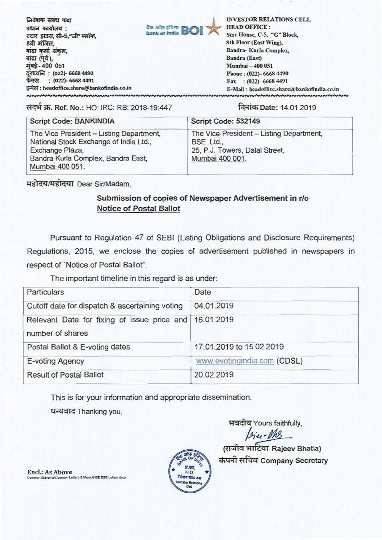निवेशक संबंध कक्ष प्रधान कार्यालय : स्टार हाउस, सी-5,"जी" ब्लॉक, 8वी मंजिल. बांद्रा कर्ला संकल, बांद्रा (पूर्व), मंबई-400 051 दरध्वनि: (022)- 6668 4490 फेक्स : (022)- 6668 4491 इमेल : headoffice.share@bankofindia.co.in **NNNNNNNNNNNNNNN** 

**INVESTOR RELATIONS CELL HEAD OFFICE:** Star House, C-5, "G" Block, 8th Floor (East Wing), Bandra-Kurla Complex, Bandra (East) Mumbai - 400 051 Phone: (022)-6668 4490 Fax: (022)-6668 4491 E-Mail: headoffice.share@bankofindia.co.in

संदर्भ क्र. Ref. No.: HO: IRC: RB: 2018-19:447

दिनांक Date: 14.01.2019

| Script Code: BANKINDIA                                                                                                                                         | Script Code: 532149                                                                                        |  |
|----------------------------------------------------------------------------------------------------------------------------------------------------------------|------------------------------------------------------------------------------------------------------------|--|
| The Vice President - Listing Department,<br>National Stock Exchange of India Ltd.,<br>Exchange Plaza,<br>Bandra Kurla Complex, Bandra East,<br>Mumbai 400 051. | The Vice-President - Listing Department,<br>BSE Ltd.,<br>25, P.J. Towers, Dalal Street,<br>Mumbai 400 001. |  |

टैंक आफ़ इंडिया

Bank of India

महोदय/महोदया Dear Sir/Madam.

## Submission of copies of Newspaper Advertisement in r/o **Notice of Postal Ballot**

Pursuant to Regulation 47 of SEBI (Listing Obligations and Disclosure Requirements) Regulations, 2015, we enclose the copies of advertisement published in newspapers in respect of 'Notice of Postal Ballot".

The important timeline in this regard is as under:

| Particulars                                                                | Date                        |
|----------------------------------------------------------------------------|-----------------------------|
| Cutoff date for dispatch & ascertaining voting                             | 04.01.2019                  |
| Relevant Date for fixing of issue price and 16.01.2019<br>number of shares |                             |
| Postal Ballot & E-voting dates                                             | 17.01.2019 to 15.02.2019    |
| E-voting Agency                                                            | www.evotingindia.com (CDSL) |
| <b>Result of Postal Ballot</b>                                             | 20.02.2019                  |

This is for your information and appropriate dissemination.

धन्यवाद Thanking you.

भवदीय Yours faithfully,

(राजीव भाटिया Rajeev Bhatia) कंपनी सचिव Company Secretary



Encl.: As Above VSuvarnaVCommon Letters & MemoWSE BSE Letters docx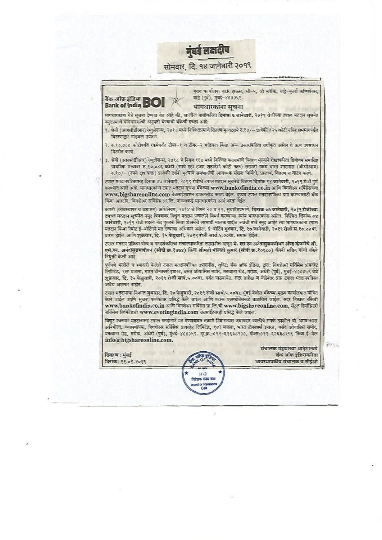